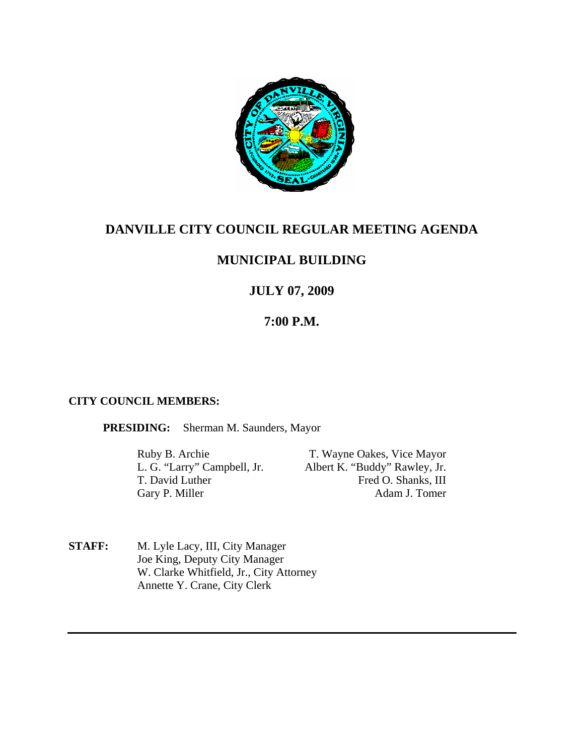

# **DANVILLE CITY COUNCIL REGULAR MEETING AGENDA**

# **MUNICIPAL BUILDING**

# **JULY 07, 2009**

# **7:00 P.M.**

# **CITY COUNCIL MEMBERS:**

**PRESIDING:** Sherman M. Saunders, Mayor

Gary P. Miller

Ruby B. Archie T. Wayne Oakes, Vice Mayor L. G. "Larry" Campbell, Jr. Albert K. "Buddy" Rawley, Jr. T. David Luther Fred O. Shanks, III<br>Garv P. Miller Adam J. Tomer

**STAFF:** M. Lyle Lacy, III, City Manager Joe King, Deputy City Manager W. Clarke Whitfield, Jr., City Attorney Annette Y. Crane, City Clerk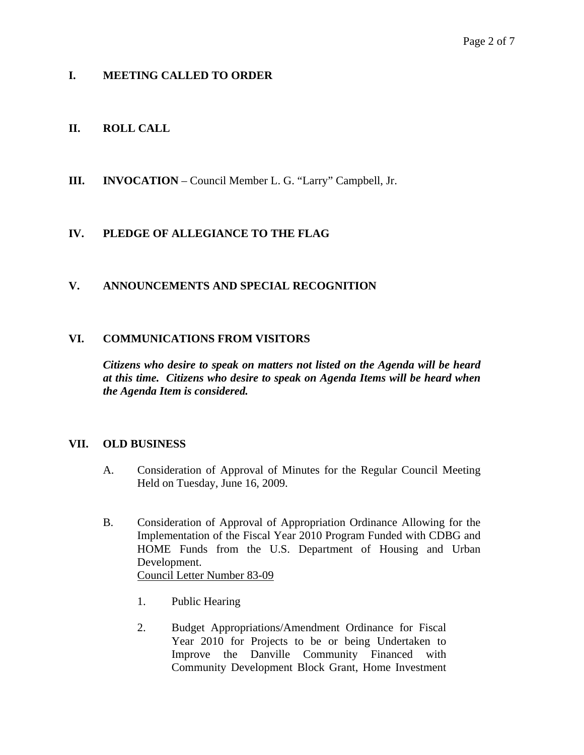## **I. MEETING CALLED TO ORDER**

## **II. ROLL CALL**

**III. INVOCATION** – Council Member L. G. "Larry" Campbell, Jr.

# **IV. PLEDGE OF ALLEGIANCE TO THE FLAG**

### **V. ANNOUNCEMENTS AND SPECIAL RECOGNITION**

### **VI. COMMUNICATIONS FROM VISITORS**

*Citizens who desire to speak on matters not listed on the Agenda will be heard at this time. Citizens who desire to speak on Agenda Items will be heard when the Agenda Item is considered.* 

### **VII. OLD BUSINESS**

- A. Consideration of Approval of Minutes for the Regular Council Meeting Held on Tuesday, June 16, 2009.
- B. Consideration of Approval of Appropriation Ordinance Allowing for the Implementation of the Fiscal Year 2010 Program Funded with CDBG and HOME Funds from the U.S. Department of Housing and Urban Development. Council Letter Number 83-09
	- 1. Public Hearing
	- 2. Budget Appropriations/Amendment Ordinance for Fiscal Year 2010 for Projects to be or being Undertaken to Improve the Danville Community Financed with Community Development Block Grant, Home Investment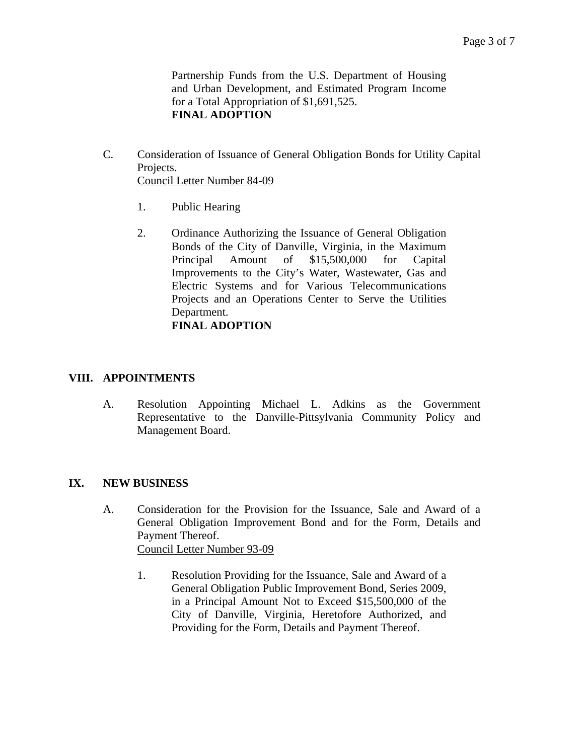Partnership Funds from the U.S. Department of Housing and Urban Development, and Estimated Program Income for a Total Appropriation of \$1,691,525. **FINAL ADOPTION**

- C. Consideration of Issuance of General Obligation Bonds for Utility Capital Projects. Council Letter Number 84-09
	- 1. Public Hearing
	- 2. Ordinance Authorizing the Issuance of General Obligation Bonds of the City of Danville, Virginia, in the Maximum Principal Amount of \$15,500,000 for Capital Improvements to the City's Water, Wastewater, Gas and Electric Systems and for Various Telecommunications Projects and an Operations Center to Serve the Utilities Department. **FINAL ADOPTION**

#### **VIII. APPOINTMENTS**

A. Resolution Appointing Michael L. Adkins as the Government Representative to the Danville-Pittsylvania Community Policy and Management Board.

#### **IX. NEW BUSINESS**

- A. Consideration for the Provision for the Issuance, Sale and Award of a General Obligation Improvement Bond and for the Form, Details and Payment Thereof. Council Letter Number 93-09
	- 1. Resolution Providing for the Issuance, Sale and Award of a General Obligation Public Improvement Bond, Series 2009, in a Principal Amount Not to Exceed \$15,500,000 of the City of Danville, Virginia, Heretofore Authorized, and Providing for the Form, Details and Payment Thereof.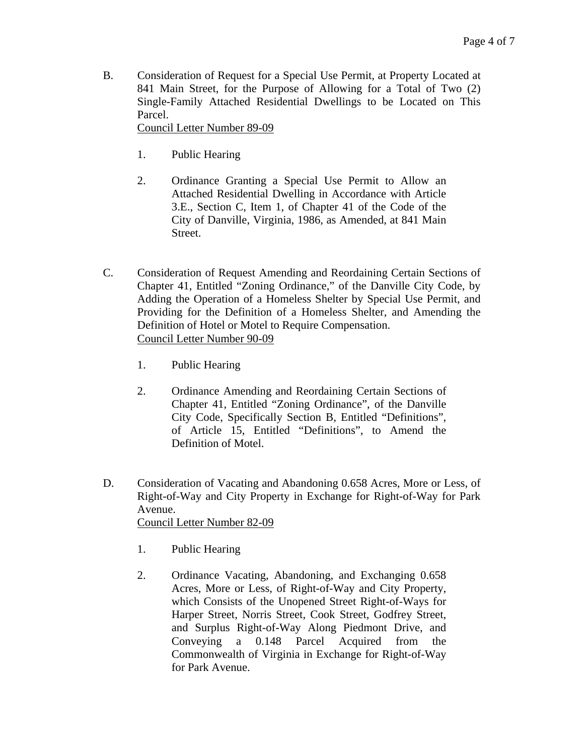B. Consideration of Request for a Special Use Permit, at Property Located at 841 Main Street, for the Purpose of Allowing for a Total of Two (2) Single-Family Attached Residential Dwellings to be Located on This Parcel.

Council Letter Number 89-09

- 1. Public Hearing
- 2. Ordinance Granting a Special Use Permit to Allow an Attached Residential Dwelling in Accordance with Article 3.E., Section C, Item 1, of Chapter 41 of the Code of the City of Danville, Virginia, 1986, as Amended, at 841 Main Street.
- C. Consideration of Request Amending and Reordaining Certain Sections of Chapter 41, Entitled "Zoning Ordinance," of the Danville City Code, by Adding the Operation of a Homeless Shelter by Special Use Permit, and Providing for the Definition of a Homeless Shelter, and Amending the Definition of Hotel or Motel to Require Compensation. Council Letter Number 90-09
	- 1. Public Hearing
	- 2. Ordinance Amending and Reordaining Certain Sections of Chapter 41, Entitled "Zoning Ordinance", of the Danville City Code, Specifically Section B, Entitled "Definitions", of Article 15, Entitled "Definitions", to Amend the Definition of Motel.
- D. Consideration of Vacating and Abandoning 0.658 Acres, More or Less, of Right-of-Way and City Property in Exchange for Right-of-Way for Park Avenue. Council Letter Number 82-09
	- 1. Public Hearing
	- 2. Ordinance Vacating, Abandoning, and Exchanging 0.658 Acres, More or Less, of Right-of-Way and City Property, which Consists of the Unopened Street Right-of-Ways for Harper Street, Norris Street, Cook Street, Godfrey Street, and Surplus Right-of-Way Along Piedmont Drive, and Conveying a 0.148 Parcel Acquired from the Commonwealth of Virginia in Exchange for Right-of-Way for Park Avenue.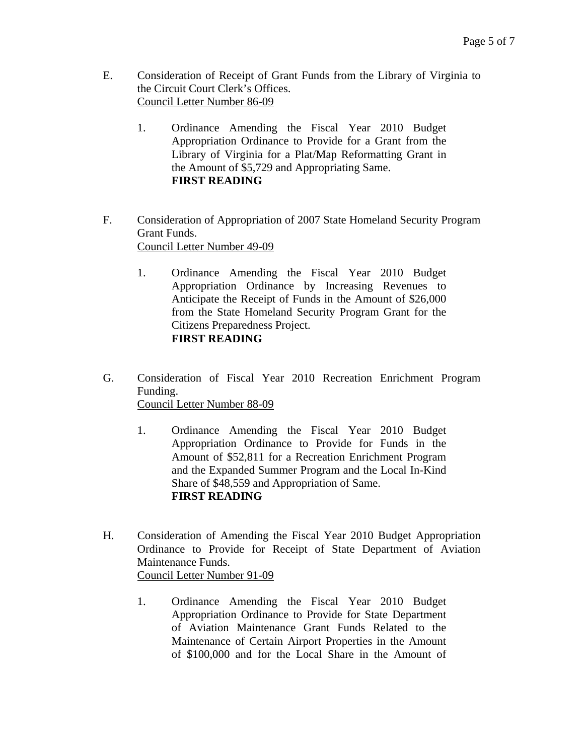- E. Consideration of Receipt of Grant Funds from the Library of Virginia to the Circuit Court Clerk's Offices. Council Letter Number 86-09
	- 1. Ordinance Amending the Fiscal Year 2010 Budget Appropriation Ordinance to Provide for a Grant from the Library of Virginia for a Plat/Map Reformatting Grant in the Amount of \$5,729 and Appropriating Same. **FIRST READING**
- F. Consideration of Appropriation of 2007 State Homeland Security Program Grant Funds. Council Letter Number 49-09
	- 1. Ordinance Amending the Fiscal Year 2010 Budget Appropriation Ordinance by Increasing Revenues to Anticipate the Receipt of Funds in the Amount of \$26,000 from the State Homeland Security Program Grant for the Citizens Preparedness Project. **FIRST READING**
- G. Consideration of Fiscal Year 2010 Recreation Enrichment Program Funding. Council Letter Number 88-09
	- 1. Ordinance Amending the Fiscal Year 2010 Budget Appropriation Ordinance to Provide for Funds in the Amount of \$52,811 for a Recreation Enrichment Program and the Expanded Summer Program and the Local In-Kind Share of \$48,559 and Appropriation of Same. **FIRST READING**
- H. Consideration of Amending the Fiscal Year 2010 Budget Appropriation Ordinance to Provide for Receipt of State Department of Aviation Maintenance Funds. Council Letter Number 91-09
	- 1. Ordinance Amending the Fiscal Year 2010 Budget Appropriation Ordinance to Provide for State Department of Aviation Maintenance Grant Funds Related to the Maintenance of Certain Airport Properties in the Amount of \$100,000 and for the Local Share in the Amount of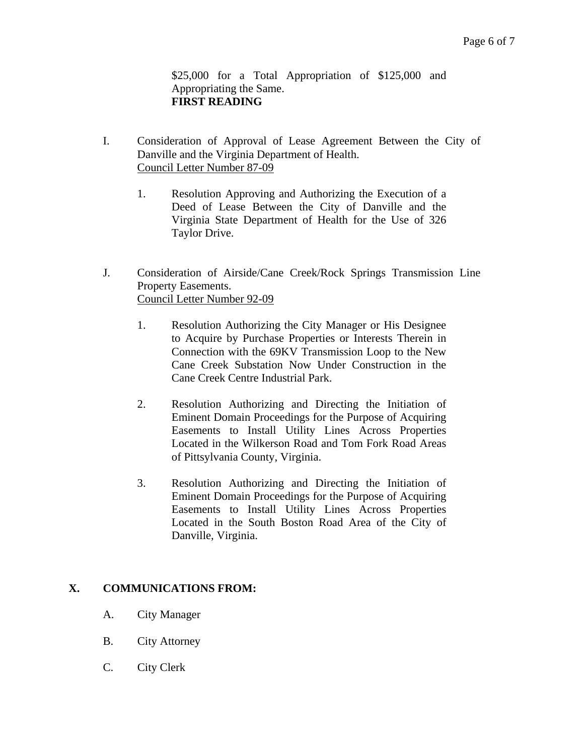\$25,000 for a Total Appropriation of \$125,000 and Appropriating the Same. **FIRST READING** 

- I. Consideration of Approval of Lease Agreement Between the City of Danville and the Virginia Department of Health. Council Letter Number 87-09
	- 1. Resolution Approving and Authorizing the Execution of a Deed of Lease Between the City of Danville and the Virginia State Department of Health for the Use of 326 Taylor Drive.
- J. Consideration of Airside/Cane Creek/Rock Springs Transmission Line Property Easements. Council Letter Number 92-09
	- 1. Resolution Authorizing the City Manager or His Designee to Acquire by Purchase Properties or Interests Therein in Connection with the 69KV Transmission Loop to the New Cane Creek Substation Now Under Construction in the Cane Creek Centre Industrial Park.
	- 2. Resolution Authorizing and Directing the Initiation of Eminent Domain Proceedings for the Purpose of Acquiring Easements to Install Utility Lines Across Properties Located in the Wilkerson Road and Tom Fork Road Areas of Pittsylvania County, Virginia.
	- 3. Resolution Authorizing and Directing the Initiation of Eminent Domain Proceedings for the Purpose of Acquiring Easements to Install Utility Lines Across Properties Located in the South Boston Road Area of the City of Danville, Virginia.

## **X. COMMUNICATIONS FROM:**

- A. City Manager
- B. City Attorney
- C. City Clerk